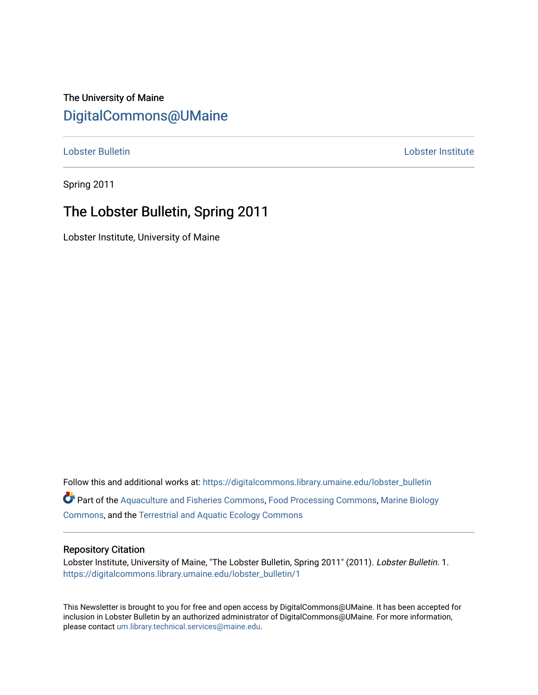## The University of Maine [DigitalCommons@UMaine](https://digitalcommons.library.umaine.edu/)

[Lobster Bulletin](https://digitalcommons.library.umaine.edu/lobster_bulletin) [Lobster Institute](https://digitalcommons.library.umaine.edu/lobster) 

Spring 2011

## The Lobster Bulletin, Spring 2011

Lobster Institute, University of Maine

Follow this and additional works at: [https://digitalcommons.library.umaine.edu/lobster\\_bulletin](https://digitalcommons.library.umaine.edu/lobster_bulletin?utm_source=digitalcommons.library.umaine.edu%2Flobster_bulletin%2F1&utm_medium=PDF&utm_campaign=PDFCoverPages) Part of the [Aquaculture and Fisheries Commons](http://network.bepress.com/hgg/discipline/78?utm_source=digitalcommons.library.umaine.edu%2Flobster_bulletin%2F1&utm_medium=PDF&utm_campaign=PDFCoverPages), [Food Processing Commons,](http://network.bepress.com/hgg/discipline/85?utm_source=digitalcommons.library.umaine.edu%2Flobster_bulletin%2F1&utm_medium=PDF&utm_campaign=PDFCoverPages) [Marine Biology](http://network.bepress.com/hgg/discipline/1126?utm_source=digitalcommons.library.umaine.edu%2Flobster_bulletin%2F1&utm_medium=PDF&utm_campaign=PDFCoverPages) [Commons](http://network.bepress.com/hgg/discipline/1126?utm_source=digitalcommons.library.umaine.edu%2Flobster_bulletin%2F1&utm_medium=PDF&utm_campaign=PDFCoverPages), and the [Terrestrial and Aquatic Ecology Commons](http://network.bepress.com/hgg/discipline/20?utm_source=digitalcommons.library.umaine.edu%2Flobster_bulletin%2F1&utm_medium=PDF&utm_campaign=PDFCoverPages) 

#### Repository Citation

Lobster Institute, University of Maine, "The Lobster Bulletin, Spring 2011" (2011). Lobster Bulletin. 1. [https://digitalcommons.library.umaine.edu/lobster\\_bulletin/1](https://digitalcommons.library.umaine.edu/lobster_bulletin/1?utm_source=digitalcommons.library.umaine.edu%2Flobster_bulletin%2F1&utm_medium=PDF&utm_campaign=PDFCoverPages)

This Newsletter is brought to you for free and open access by DigitalCommons@UMaine. It has been accepted for inclusion in Lobster Bulletin by an authorized administrator of DigitalCommons@UMaine. For more information, please contact [um.library.technical.services@maine.edu.](mailto:um.library.technical.services@maine.edu)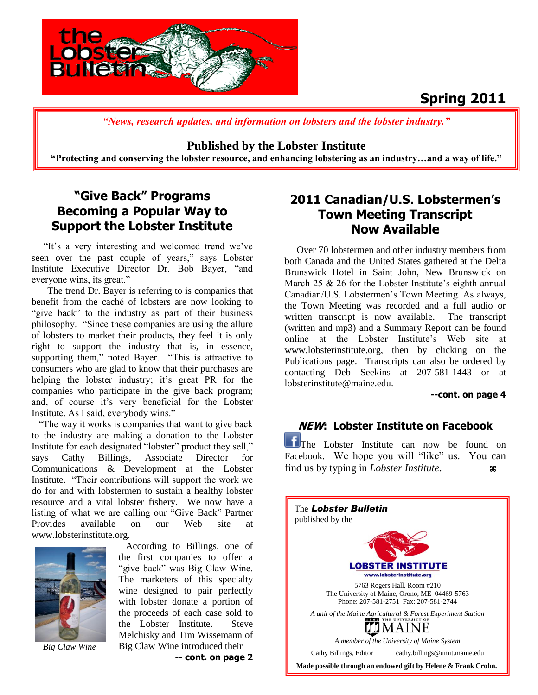

# **Spring 2011**

 *"News, research updates, and information on lobsters and the lobster industry."*

**Published by the Lobster Institute** 

 **"Protecting and conserving the lobster resource, and enhancing lobstering as an industry…and a way of life."**

### **"Give Back" Programs Becoming a Popular Way to Support the Lobster Institute**

"It's a very interesting and welcomed trend we've seen over the past couple of years," says Lobster Institute Executive Director Dr. Bob Bayer, "and everyone wins, its great."

The trend Dr. Bayer is referring to is companies that benefit from the caché of lobsters are now looking to "give back" to the industry as part of their business philosophy. "Since these companies are using the allure of lobsters to market their products, they feel it is only right to support the industry that is, in essence, supporting them," noted Bayer. "This is attractive to consumers who are glad to know that their purchases are helping the lobster industry; it's great PR for the companies who participate in the give back program; and, of course it's very beneficial for the Lobster Institute. As I said, everybody wins."

 "The way it works is companies that want to give back to the industry are making a donation to the Lobster Institute for each designated "lobster" product they sell," says Cathy Billings, Associate Director for Communications & Development at the Lobster Institute. "Their contributions will support the work we do for and with lobstermen to sustain a healthy lobster resource and a vital lobster fishery. We now have a listing of what we are calling our "Give Back" Partner Provides available on our Web site at www.lobsterinstitute.org.



*Big Claw Wine*

 According to Billings, one of the first companies to offer a "give back" was Big Claw Wine. The marketers of this specialty wine designed to pair perfectly with lobster donate a portion of the proceeds of each case sold to the Lobster Institute. Steve Melchisky and Tim Wissemann of Big Claw Wine introduced their

**-- cont. on page 2** 

### **2011 Canadian/U.S. Lobstermen's Town Meeting Transcript Now Available**

 Over 70 lobstermen and other industry members from both Canada and the United States gathered at the Delta Brunswick Hotel in Saint John, New Brunswick on March  $25 \& 26$  for the Lobster Institute's eighth annual Canadian/U.S. Lobstermen"s Town Meeting. As always, the Town Meeting was recorded and a full audio or written transcript is now available. The transcript (written and mp3) and a Summary Report can be found online at the Lobster Institute"s Web site at www.lobsterinstitute.org, then by clicking on the Publications page. Transcripts can also be ordered by contacting Deb Seekins at 207-581-1443 or at lobsterinstitute@maine.edu.

#### **--cont. on page 4**

#### **NEW: Lobster Institute on Facebook**

The Lobster Institute can now be found on Facebook. We hope you will "like" us. You can find us by typing in *Lobster Institute*.

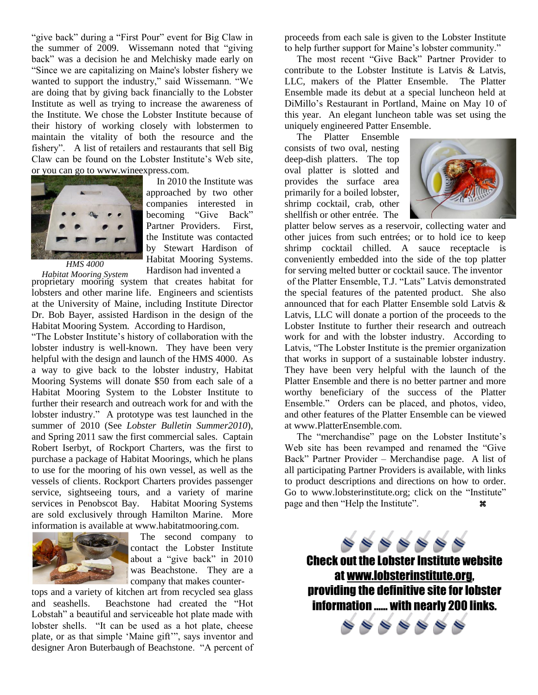"give back" during a "First Pour" event for Big Claw in the summer of 2009. Wissemann noted that "giving back" was a decision he and Melchisky made early on "Since we are capitalizing on Maine's lobster fishery we wanted to support the industry," said Wissemann. "We are doing that by giving back financially to the Lobster Institute as well as trying to increase the awareness of the Institute. We chose the Lobster Institute because of their history of working closely with lobstermen to maintain the vitality of both the resource and the fishery". A list of retailers and restaurants that sell Big Claw can be found on the Lobster Institute"s Web site, or you can go to www.wineexpress.com.



 In 2010 the Institute was approached by two other companies interested in becoming "Give Back" Partner Providers. First, the Institute was contacted by Stewart Hardison of Habitat Mooring Systems. Hardison had invented a

*HMS 4000*

*Habitat Mooring System* proprietary mooring system that creates habitat for lobsters and other marine life. Engineers and scientists at the University of Maine, including Institute Director Dr. Bob Bayer, assisted Hardison in the design of the Habitat Mooring System. According to Hardison,

"The Lobster Institute"s history of collaboration with the lobster industry is well-known. They have been very helpful with the design and launch of the HMS 4000. As a way to give back to the lobster industry, Habitat Mooring Systems will donate \$50 from each sale of a Habitat Mooring System to the Lobster Institute to further their research and outreach work for and with the lobster industry." A prototype was test launched in the summer of 2010 (See *Lobster Bulletin Summer2010*), and Spring 2011 saw the first commercial sales. Captain Robert Iserbyt, of Rockport Charters, was the first to purchase a package of Habitat Moorings, which he plans to use for the mooring of his own vessel, as well as the vessels of clients. Rockport Charters provides passenger service, sightseeing tours, and a variety of marine services in Penobscot Bay. Habitat Mooring Systems are sold exclusively through Hamilton Marine. More information is available at www.habitatmooring.com.



 The second company to contact the Lobster Institute about a "give back" in 2010 was Beachstone. They are a company that makes counter-

tops and a variety of kitchen art from recycled sea glass and seashells. Beachstone had created the "Hot Lobstah" a beautiful and serviceable hot plate made with lobster shells. "It can be used as a hot plate, cheese plate, or as that simple "Maine gift"", says inventor and designer Aron Buterbaugh of Beachstone. "A percent of

proceeds from each sale is given to the Lobster Institute to help further support for Maine"s lobster community."

 The most recent "Give Back" Partner Provider to contribute to the Lobster Institute is Latvis & Latvis, LLC, makers of the Platter Ensemble. The Platter Ensemble made its debut at a special luncheon held at DiMillo"s Restaurant in Portland, Maine on May 10 of this year. An elegant luncheon table was set using the uniquely engineered Patter Ensemble.

 The Platter Ensemble consists of two oval, nesting deep-dish platters. The top oval platter is slotted and provides the surface area primarily for a boiled lobster, shrimp cocktail, crab, other shellfish or other entrée. The



platter below serves as a reservoir, collecting water and other juices from such entrées; or to hold ice to keep shrimp cocktail chilled. A sauce receptacle is conveniently embedded into the side of the top platter for serving melted butter or cocktail sauce. The inventor of the Platter Ensemble, T.J. "Lats" Latvis demonstrated the special features of the patented product. She also announced that for each Platter Ensemble sold Latvis & Latvis, LLC will donate a portion of the proceeds to the Lobster Institute to further their research and outreach work for and with the lobster industry. According to Latvis, "The Lobster Institute is the premier organization that works in support of a sustainable lobster industry. They have been very helpful with the launch of the Platter Ensemble and there is no better partner and more worthy beneficiary of the success of the Platter Ensemble." Orders can be placed, and photos, video, and other features of the Platter Ensemble can be viewed at www.PlatterEnsemble.com.

The "merchandise" page on the Lobster Institute's Web site has been revamped and renamed the "Give Back" Partner Provider – Merchandise page. A list of all participating Partner Providers is available, with links to product descriptions and directions on how to order. Go to www.lobsterinstitute.org; click on the "Institute" page and then "Help the Institute".

Check out the Lobster Institute website at [www.lobsterinstitute.org,](http://www.lobsterinstitute.org/) providing the definitive site for lobster information …… with nearly 200 links.

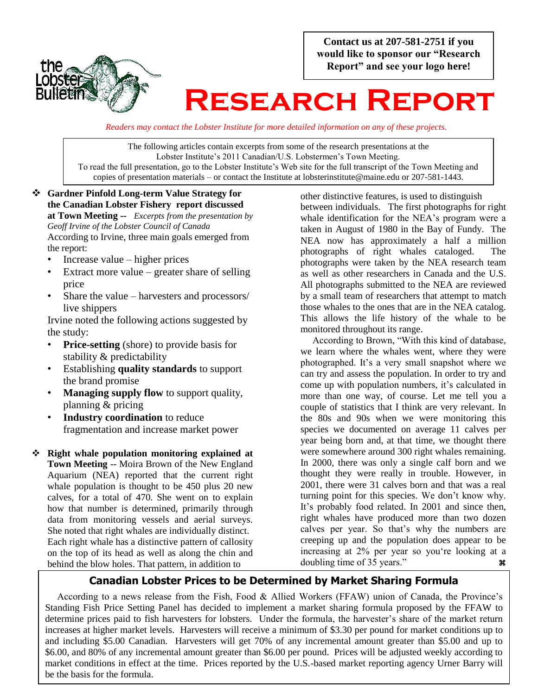**Contact us at 207-581-2751 if you would like to sponsor our "Research Report" and see your logo here!**



# **Research Report**

*Readers may contact the Lobster Institute for more detailed information on any of these projects.*

The following articles contain excerpts from some of the research presentations at the Lobster Institute's 2011 Canadian/U.S. Lobstermen's Town Meeting. To read the full presentation, go to the Lobster Institute"s Web site for the full transcript of the Town Meeting and copies of presentation materials – or contact the Institute at lobsterinstitute@maine.edu or 207-581-1443.

#### **Gardner Pinfold Long-term Value Strategy for the Canadian Lobster Fishery report discussed at Town Meeting --** *Excerpts from the presentation by Geoff Irvine of the Lobster Council of Canada*  According to Irvine, three main goals emerged from the report:

- Increase value higher prices
- Extract more value  $-$  greater share of selling price
- Share the value harvesters and processors/ live shippers

Irvine noted the following actions suggested by the study:

- **Price-setting** (shore) to provide basis for stability & predictability
- Establishing **quality standards** to support the brand promise
- **Managing supply flow** to support quality, planning & pricing
- **Industry coordination** to reduce fragmentation and increase market power
- **Right whale population monitoring explained at Town Meeting** -- Moira Brown of the New England Aquarium (NEA) reported that the current right whale population is thought to be 450 plus 20 new calves, for a total of 470. She went on to explain how that number is determined, primarily through data from monitoring vessels and aerial surveys. She noted that right whales are individually distinct. Each right whale has a distinctive pattern of callosity on the top of its head as well as along the chin and behind the blow holes. That pattern, in addition to

other distinctive features, is used to distinguish between individuals. The first photographs for right whale identification for the NEA's program were a taken in August of 1980 in the Bay of Fundy. The NEA now has approximately a half a million photographs of right whales cataloged. The photographs were taken by the NEA research team as well as other researchers in Canada and the U.S. All photographs submitted to the NEA are reviewed by a small team of researchers that attempt to match those whales to the ones that are in the NEA catalog. This allows the life history of the whale to be monitored throughout its range.

 According to Brown, "With this kind of database, we learn where the whales went, where they were photographed. It's a very small snapshot where we can try and assess the population. In order to try and come up with population numbers, it"s calculated in more than one way, of course. Let me tell you a couple of statistics that I think are very relevant. In the 80s and 90s when we were monitoring this species we documented on average 11 calves per year being born and, at that time, we thought there were somewhere around 300 right whales remaining. In 2000, there was only a single calf born and we thought they were really in trouble. However, in 2001, there were 31 calves born and that was a real turning point for this species. We don"t know why. It's probably food related. In 2001 and since then, right whales have produced more than two dozen calves per year. So that"s why the numbers are creeping up and the population does appear to be increasing at 2% per year so you"re looking at a doubling time of 35 years."

#### **Canadian Lobster Prices to be Determined by Market Sharing Formula**

 According to a news release from the Fish, Food & Allied Workers (FFAW) union of Canada, the Province"s Standing Fish Price Setting Panel has decided to implement a market sharing formula proposed by the FFAW to determine prices paid to fish harvesters for lobsters. Under the formula, the harvester's share of the market return increases at higher market levels. Harvesters will receive a minimum of \$3.30 per pound for market conditions up to and including \$5.00 Canadian. Harvesters will get 70% of any incremental amount greater than \$5.00 and up to \$6.00, and 80% of any incremental amount greater than \$6.00 per pound. Prices will be adjusted weekly according to market conditions in effect at the time. Prices reported by the U.S.-based market reporting agency Urner Barry will be the basis for the formula.